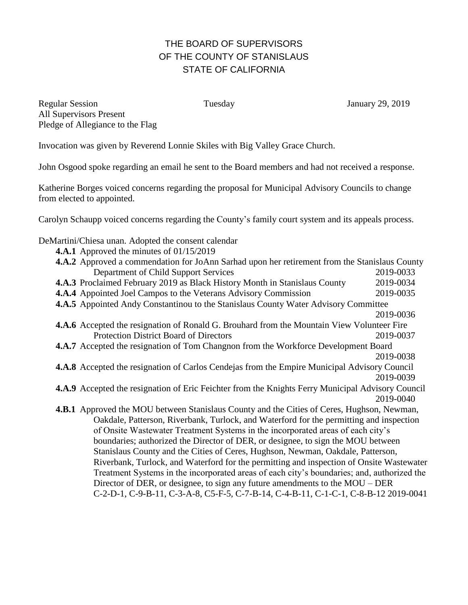## THE BOARD OF SUPERVISORS OF THE COUNTY OF STANISLAUS STATE OF CALIFORNIA

Regular Session Tuesday January 29, 2019 All Supervisors Present Pledge of Allegiance to the Flag

Invocation was given by Reverend Lonnie Skiles with Big Valley Grace Church.

John Osgood spoke regarding an email he sent to the Board members and had not received a response.

Katherine Borges voiced concerns regarding the proposal for Municipal Advisory Councils to change from elected to appointed.

Carolyn Schaupp voiced concerns regarding the County's family court system and its appeals process.

DeMartini/Chiesa unan. Adopted the consent calendar

- **4.A.1** Approved the minutes of 01/15/2019
- **4.A.2** Approved a commendation for JoAnn Sarhad upon her retirement from the Stanislaus County Department of Child Support Services 2019-0033 **4.A.3** Proclaimed February 2019 as Black History Month in Stanislaus County 2019-0034 **4.A.4** Appointed Joel Campos to the Veterans Advisory Commission 2019-0035 **4.A.5** Appointed Andy Constantinou to the Stanislaus County Water Advisory Committee 2019-0036 **4.A.6** Accepted the resignation of Ronald G. Brouhard from the Mountain View Volunteer Fire Protection District Board of Directors 2019-0037 **4.A.7** Accepted the resignation of Tom Changnon from the Workforce Development Board 2019-0038 **4.A.8** Accepted the resignation of Carlos Cendejas from the Empire Municipal Advisory Council 2019-0039 **4.A.9** Accepted the resignation of Eric Feichter from the Knights Ferry Municipal Advisory Council 2019-0040 **4.B.1** Approved the MOU between Stanislaus County and the Cities of Ceres, Hughson, Newman, Oakdale, Patterson, Riverbank, Turlock, and Waterford for the permitting and inspection of Onsite Wastewater Treatment Systems in the incorporated areas of each city's boundaries; authorized the Director of DER, or designee, to sign the MOU between Stanislaus County and the Cities of Ceres, Hughson, Newman, Oakdale, Patterson, Riverbank, Turlock, and Waterford for the permitting and inspection of Onsite Wastewater Treatment Systems in the incorporated areas of each city's boundaries; and, authorized the Director of DER, or designee, to sign any future amendments to the MOU – DER C-2-D-1, C-9-B-11, C-3-A-8, C5-F-5, C-7-B-14, C-4-B-11, C-1-C-1, C-8-B-12 2019-0041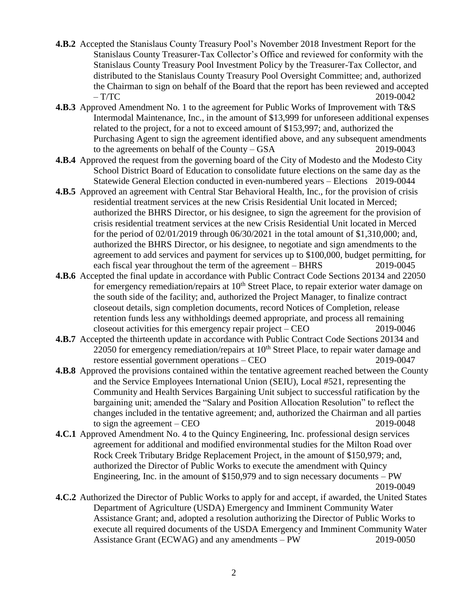- **4.B.2** Accepted the Stanislaus County Treasury Pool's November 2018 Investment Report for the Stanislaus County Treasurer-Tax Collector's Office and reviewed for conformity with the Stanislaus County Treasury Pool Investment Policy by the Treasurer-Tax Collector, and distributed to the Stanislaus County Treasury Pool Oversight Committee; and, authorized the Chairman to sign on behalf of the Board that the report has been reviewed and accepted  $- T/TC$  2019-0042
- **4.B.3** Approved Amendment No. 1 to the agreement for Public Works of Improvement with T&S Intermodal Maintenance, Inc., in the amount of \$13,999 for unforeseen additional expenses related to the project, for a not to exceed amount of \$153,997; and, authorized the Purchasing Agent to sign the agreement identified above, and any subsequent amendments to the agreements on behalf of the County – GSA 2019-0043
- **4.B.4** Approved the request from the governing board of the City of Modesto and the Modesto City School District Board of Education to consolidate future elections on the same day as the Statewide General Election conducted in even-numbered years – Elections 2019-0044
- **4.B.5** Approved an agreement with Central Star Behavioral Health, Inc., for the provision of crisis residential treatment services at the new Crisis Residential Unit located in Merced; authorized the BHRS Director, or his designee, to sign the agreement for the provision of crisis residential treatment services at the new Crisis Residential Unit located in Merced for the period of 02/01/2019 through 06/30/2021 in the total amount of \$1,310,000; and, authorized the BHRS Director, or his designee, to negotiate and sign amendments to the agreement to add services and payment for services up to \$100,000, budget permitting, for each fiscal year throughout the term of the agreement – BHRS 2019-0045
- **4.B.6** Accepted the final update in accordance with Public Contract Code Sections 20134 and 22050 for emergency remediation/repairs at 10<sup>th</sup> Street Place, to repair exterior water damage on the south side of the facility; and, authorized the Project Manager, to finalize contract closeout details, sign completion documents, record Notices of Completion, release retention funds less any withholdings deemed appropriate, and process all remaining closeout activities for this emergency repair project – CEO 2019-0046
- **4.B.7** Accepted the thirteenth update in accordance with Public Contract Code Sections 20134 and 22050 for emergency remediation/repairs at  $10<sup>th</sup>$  Street Place, to repair water damage and restore essential government operations – CEO 2019-0047
- **4.B.8** Approved the provisions contained within the tentative agreement reached between the County and the Service Employees International Union (SEIU), Local #521, representing the Community and Health Services Bargaining Unit subject to successful ratification by the bargaining unit; amended the "Salary and Position Allocation Resolution" to reflect the changes included in the tentative agreement; and, authorized the Chairman and all parties to sign the agreement – CEO 2019-0048
- **4.C.1** Approved Amendment No. 4 to the Quincy Engineering, Inc. professional design services agreement for additional and modified environmental studies for the Milton Road over Rock Creek Tributary Bridge Replacement Project, in the amount of \$150,979; and, authorized the Director of Public Works to execute the amendment with Quincy Engineering, Inc. in the amount of \$150,979 and to sign necessary documents – PW 2019-0049
- **4.C.2** Authorized the Director of Public Works to apply for and accept, if awarded, the United States Department of Agriculture (USDA) Emergency and Imminent Community Water Assistance Grant; and, adopted a resolution authorizing the Director of Public Works to execute all required documents of the USDA Emergency and Imminent Community Water Assistance Grant (ECWAG) and any amendments – PW 2019-0050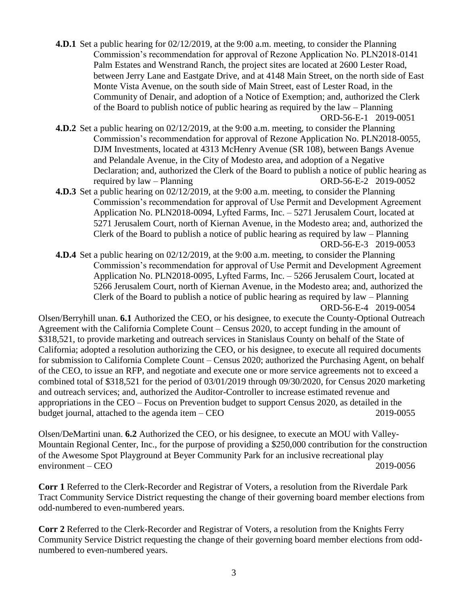**4.D.1** Set a public hearing for 02/12/2019, at the 9:00 a.m. meeting, to consider the Planning Commission's recommendation for approval of Rezone Application No. PLN2018-0141 Palm Estates and Wenstrand Ranch, the project sites are located at 2600 Lester Road, between Jerry Lane and Eastgate Drive, and at 4148 Main Street, on the north side of East Monte Vista Avenue, on the south side of Main Street, east of Lester Road, in the Community of Denair, and adoption of a Notice of Exemption; and, authorized the Clerk of the Board to publish notice of public hearing as required by the law – Planning ORD-56-E-1 2019-0051

- **4.D.2** Set a public hearing on 02/12/2019, at the 9:00 a.m. meeting, to consider the Planning Commission's recommendation for approval of Rezone Application No. PLN2018-0055, DJM Investments, located at 4313 McHenry Avenue (SR 108), between Bangs Avenue and Pelandale Avenue, in the City of Modesto area, and adoption of a Negative Declaration; and, authorized the Clerk of the Board to publish a notice of public hearing as required by law – Planning ORD-56-E-2 2019-0052
- **4.D.3** Set a public hearing on 02/12/2019, at the 9:00 a.m. meeting, to consider the Planning Commission's recommendation for approval of Use Permit and Development Agreement Application No. PLN2018-0094, Lyfted Farms, Inc. – 5271 Jerusalem Court, located at 5271 Jerusalem Court, north of Kiernan Avenue, in the Modesto area; and, authorized the Clerk of the Board to publish a notice of public hearing as required by law – Planning ORD-56-E-3 2019-0053
- **4.D.4** Set a public hearing on 02/12/2019, at the 9:00 a.m. meeting, to consider the Planning Commission's recommendation for approval of Use Permit and Development Agreement Application No. PLN2018-0095, Lyfted Farms, Inc. – 5266 Jerusalem Court, located at 5266 Jerusalem Court, north of Kiernan Avenue, in the Modesto area; and, authorized the Clerk of the Board to publish a notice of public hearing as required by law – Planning ORD-56-E-4 2019-0054

Olsen/Berryhill unan. **6.1** Authorized the CEO, or his designee, to execute the County-Optional Outreach Agreement with the California Complete Count – Census 2020, to accept funding in the amount of \$318,521, to provide marketing and outreach services in Stanislaus County on behalf of the State of California; adopted a resolution authorizing the CEO, or his designee, to execute all required documents for submission to California Complete Count – Census 2020; authorized the Purchasing Agent, on behalf of the CEO, to issue an RFP, and negotiate and execute one or more service agreements not to exceed a combined total of \$318,521 for the period of 03/01/2019 through 09/30/2020, for Census 2020 marketing and outreach services; and, authorized the Auditor-Controller to increase estimated revenue and appropriations in the CEO – Focus on Prevention budget to support Census 2020, as detailed in the budget journal, attached to the agenda item – CEO 2019-0055

Olsen/DeMartini unan. **6.2** Authorized the CEO, or his designee, to execute an MOU with Valley-Mountain Regional Center, Inc., for the purpose of providing a \$250,000 contribution for the construction of the Awesome Spot Playground at Beyer Community Park for an inclusive recreational play environment – CEO 2019-0056

**Corr 1** Referred to the Clerk-Recorder and Registrar of Voters, a resolution from the Riverdale Park Tract Community Service District requesting the change of their governing board member elections from odd-numbered to even-numbered years.

**Corr 2** Referred to the Clerk-Recorder and Registrar of Voters, a resolution from the Knights Ferry Community Service District requesting the change of their governing board member elections from oddnumbered to even-numbered years.